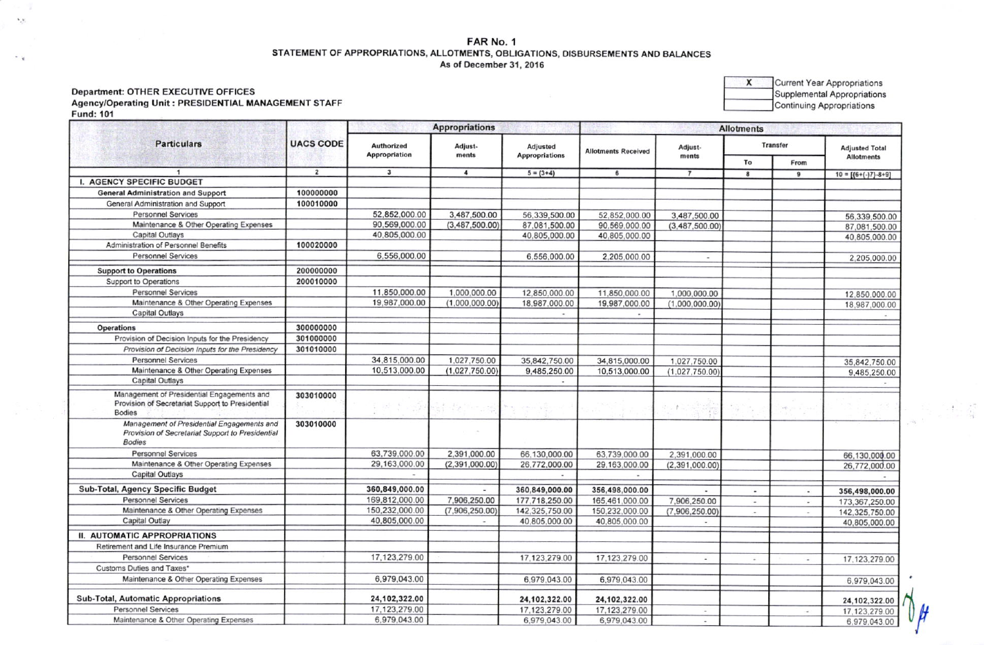# FAR No. 1 STATEMENT OF APPROPRIATIONS, ALLOTMENTS, OBLIGATIONS, DISBURSEMENTS AND BALANCES As of December 31, 2016

## **Department: OTHER EXECUTIVE OFFICES** Agency/Operating Unit: PRESIDENTIAL MANAGEMENT STAFF **Fund: 101**

 $V_{\mu}V_{\nu}$ 

 $\ddot{z}$ 

| <b>Particulars</b>                                                                                              | <b>UACS CODE</b> |                                    | <b>Appropriations</b>                 | <b>Allotments</b>                 |                            |                          |                          |                |                                                |
|-----------------------------------------------------------------------------------------------------------------|------------------|------------------------------------|---------------------------------------|-----------------------------------|----------------------------|--------------------------|--------------------------|----------------|------------------------------------------------|
|                                                                                                                 |                  | Authorized<br><b>Appropriation</b> | Adjust-<br>ments                      | Adjusted<br><b>Appropriations</b> | <b>Allotments Received</b> | Adjust-<br>ments         | <b>Transfer</b>          |                | <b>Adjusted Total</b>                          |
|                                                                                                                 |                  |                                    |                                       |                                   |                            |                          | To                       | From           | <b>Allotments</b>                              |
|                                                                                                                 | $\overline{2}$   | $\overline{\mathbf{3}}$            | $\overline{\mathbf{4}}$               | $5 = (3+4)$                       | 6                          | $\overline{7}$           | 8                        | 9              | $10 = \left[\frac{6 + (-)7 - 8 + 9}{2}\right]$ |
| I. AGENCY SPECIFIC BUDGET                                                                                       |                  |                                    |                                       |                                   |                            |                          |                          |                |                                                |
| <b>General Administration and Support</b>                                                                       | 100000000        |                                    |                                       |                                   |                            |                          |                          |                |                                                |
| General Administration and Support                                                                              | 100010000        |                                    |                                       |                                   |                            |                          |                          |                |                                                |
| <b>Personnel Services</b>                                                                                       |                  | 52,852,000.00                      | 3,487,500.00                          | 56,339,500.00                     | 52,852,000.00              | 3,487,500.00             |                          |                | 56,339,500.0                                   |
| Maintenance & Other Operating Expenses                                                                          |                  | 90,569,000.00                      | (3,487,500.00)                        | 87,081,500.00                     | 90,569,000.00              | (3,487,500.00)           |                          |                | 87,081,500.0                                   |
| Capital Outlays                                                                                                 |                  | 40,805,000.00                      |                                       | 40,805,000.00                     | 40.805.000.00              |                          |                          |                | 40,805,000.0                                   |
| Administration of Personnel Benefits                                                                            | 100020000        |                                    |                                       |                                   |                            |                          |                          |                |                                                |
| <b>Personnel Services</b>                                                                                       |                  | 6,556,000.00                       |                                       | 6,556,000.00                      | 2,205,000.00               |                          |                          |                | 2,205,000.0                                    |
| <b>Support to Operations</b>                                                                                    | 200000000        |                                    |                                       |                                   |                            |                          |                          |                |                                                |
| Support to Operations                                                                                           | 200010000        |                                    |                                       |                                   |                            |                          |                          |                |                                                |
| <b>Personnel Services</b>                                                                                       |                  | 11,850,000.00                      | 1,000,000.00                          | 12,850,000.00                     | 11,850,000.00              | 1,000,000.00             |                          |                | 12,850,000.0                                   |
| Maintenance & Other Operating Expenses                                                                          |                  | 19,987,000.00                      | (1,000,000,00)                        | 18,987,000.00                     | 19,987,000.00              | (1,000,000,00)           |                          |                | 18,987,000.0                                   |
| <b>Capital Outlays</b>                                                                                          |                  |                                    |                                       |                                   |                            |                          |                          |                |                                                |
| Operations                                                                                                      | 300000000        |                                    |                                       |                                   |                            |                          |                          |                |                                                |
| Provision of Decision Inputs for the Presidency                                                                 | 301000000        |                                    |                                       |                                   |                            |                          |                          |                |                                                |
| Provision of Decision Inputs for the Presidency                                                                 | 301010000        |                                    |                                       |                                   |                            |                          |                          |                |                                                |
|                                                                                                                 |                  |                                    |                                       |                                   |                            |                          |                          |                |                                                |
| <b>Personnel Services</b>                                                                                       |                  | 34,815,000.00<br>10,513,000.00     | 1,027,750.00                          | 35,842,750.00                     | 34,815,000.00              | 1.027.750.00             |                          |                | 35,842,750.0                                   |
| Maintenance & Other Operating Expenses<br><b>Capital Outlays</b>                                                |                  |                                    | (1,027,750.00)                        | 9,485,250.00                      | 10,513,000.00              | (1.027, 750.00)          |                          |                | 9,485,250.0                                    |
|                                                                                                                 |                  |                                    |                                       |                                   |                            |                          |                          |                |                                                |
| Management of Presidential Engagements and<br>Provision of Secretariat Support to Presidential<br><b>Bodies</b> | 303010000        |                                    | $\mathbb{R}^2 \rightarrow \mathbb{R}$ |                                   |                            | 1.11                     |                          | $\sigma \psi$  |                                                |
| Management of Presidential Engagements and<br>Provision of Secretariat Support to Presidential<br><b>Bodies</b> | 303010000        |                                    |                                       |                                   |                            |                          |                          |                |                                                |
| <b>Personnel Services</b>                                                                                       |                  | 63,739,000.00                      | 2,391,000.00                          | 66,130,000.00                     | 63,739,000.00              | 2,391,000.00             |                          |                | 66,130,000.00                                  |
| Maintenance & Other Operating Expenses                                                                          |                  | 29,163,000.00                      | (2,391,000.00)                        | 26,772,000.00                     | 29,163,000.00              | (2,391,000.00)           |                          |                | 26,772,000.00                                  |
| <b>Capital Outlays</b>                                                                                          |                  | $\sim$                             |                                       |                                   |                            |                          |                          |                |                                                |
| Sub-Total, Agency Specific Budget                                                                               |                  | 360,849,000.00                     |                                       | 360,849,000.00                    | 356,498,000.00             |                          |                          | $\overline{a}$ | 356,498,000.00                                 |
| <b>Personnel Services</b>                                                                                       |                  | 169,812,000.00                     | 7,906,250.00                          | 177,718,250.00                    | 165,461,000.00             | 7,906,250.00             | $\overline{\phantom{a}}$ |                | 173,367,250.00                                 |
| Maintenance & Other Operating Expenses                                                                          |                  | 150,232,000.00                     | (7,906,250.00)                        | 142,325,750.00                    | 150,232,000.00             | (7,906,250.00)           | $\sim$                   |                | 142,325,750.00                                 |
| Capital Outlay                                                                                                  |                  | 40,805,000.00                      | $\sim$                                | 40,805,000.00                     | 40,805,000.00              |                          |                          |                | 40,805,000.00                                  |
| <b>II. AUTOMATIC APPROPRIATIONS</b>                                                                             |                  |                                    |                                       |                                   |                            |                          |                          |                |                                                |
| Retirement and Life Insurance Premium                                                                           |                  |                                    |                                       |                                   |                            |                          |                          |                |                                                |
| <b>Personnel Services</b>                                                                                       |                  | 17,123,279.00                      |                                       | 17.123,279.00                     | 17,123,279.00              |                          | ×.                       |                | 17, 123, 279.00                                |
| Customs Duties and Taxes*                                                                                       |                  |                                    |                                       |                                   |                            |                          |                          |                |                                                |
| Maintenance & Other Operating Expenses                                                                          |                  | 6,979,043.00                       |                                       | 6,979,043.00                      | 6,979,043.00               |                          |                          |                | 6,979,043.00                                   |
| <b>Sub-Total, Automatic Appropriations</b>                                                                      |                  | 24,102,322.00                      |                                       | 24,102,322.00                     | 24,102,322.00              |                          |                          |                |                                                |
| <b>Personnel Services</b>                                                                                       |                  | 17,123,279.00                      |                                       | 17,123,279.00                     | 17,123,279.00              |                          |                          |                | 24,102,322.00                                  |
| Maintenance & Other Operating Expenses                                                                          |                  | 6,979,043.00                       |                                       | 6,979,043.00                      | 6,979,043.00               | $\overline{\phantom{a}}$ |                          |                | 17, 123, 279.00                                |
|                                                                                                                 |                  |                                    |                                       |                                   |                            |                          |                          |                | 6.979.043.00                                   |

Current Year Appropriations  $\mathbf{x}$ Supplemental Appropriations Continuing Appropriations

6,979,043.00

 $\frac{1}{\sqrt{2}}$